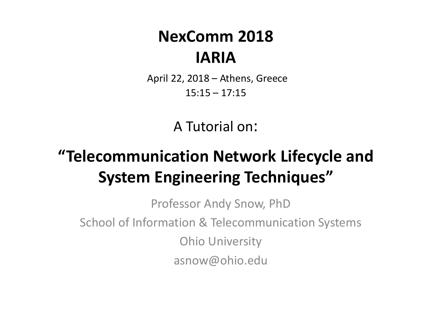#### **NexComm 2018 IARIA**

April 22, 2018 – Athens, Greece 15:15 – 17:15

A Tutorial on:

#### **"Telecommunication Network Lifecycle and System Engineering Techniques"**

Professor Andy Snow, PhD School of Information & Telecommunication Systems Ohio University asnow@ohio.edu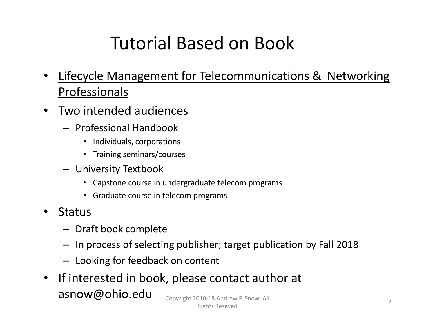### Tutorial Based on Book

- • Lifecycle Management for Telecommunications & Networking Professionals
- • Two intended audiences
	- Professional Handbook
		- Individuals, corporations
		- Training seminars/courses
	- University Textbook
		- Capstone course in undergraduate telecom programs
		- Graduate course in telecom programs
- • Status
	- Draft book complete
	- In process of selecting publisher; target publication by Fall 2018
	- Looking for feedback on content
- $\bullet$ • If interested in book, please contact author at asnow@ohio.edu Copyright <sup>2010</sup>‐<sup>18</sup> Andrew P. Snow; All Rights Reseved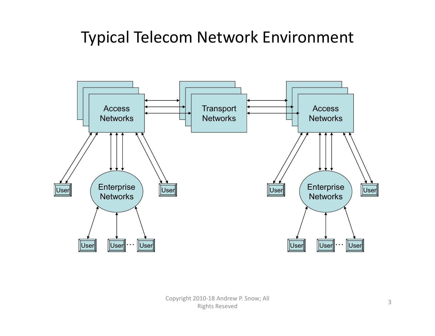#### Typical Telecom Network Environment

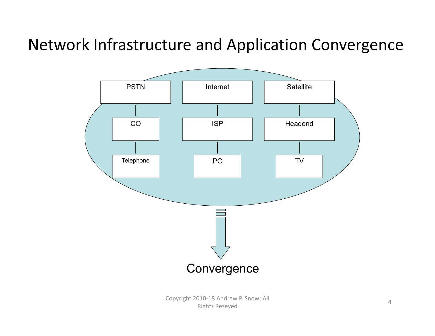#### Network Infrastructure and Application Convergence

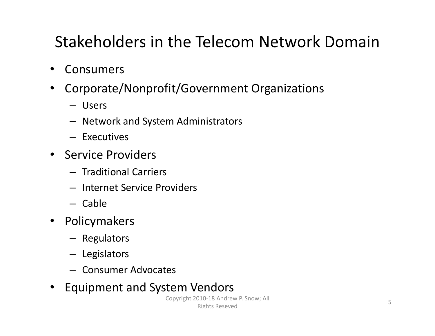#### Stakeholders in the Telecom Network Domain

- Consumers
- • Corporate/Nonprofit/Government Organizations
	- Users
	- Network and System Administrators
	- Executives
- Service Providers
	- Traditional Carriers
	- Internet Service Providers
	- Cable
- Policymakers
	- Regulators
	- Legislators
	- Consumer Advocates

#### • Equipment and System Vendors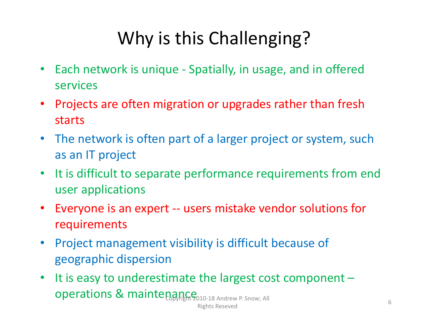### Why is this Challenging?

- •• Each network is unique - Spatially, in usage, and in offered services
- Projects are often migration or upgrades rather than fresh starts
- The network is often part of <sup>a</sup> larger project or system, such as an IT project
- $\bullet$ • It is difficult to separate performance requirements from end user applications
- Everyone is an expert ‐‐ users mistake vendor solutions for requirements
- Project management visibility is difficult because of geographic dispersion
- $\bullet$ • It is easy to underestimate the largest cost component - $\mathsf{operations}\; \&\; \mathsf{mainte}_{\mathsf{B}\not{\mathsf{Py}}\n{\mathsf{H}}\not{\mathsf{B}}\n{\mathsf{m}}\n{\mathsf{S}}_{{\mathsf{010}\text{-}18}\;\mathsf{Andrew}\;\mathsf{P.} \;\mathsf{Show};\;\mathsf{All}}$ Copyright 2010-18 Andrew P. Snow; All Rights Reseved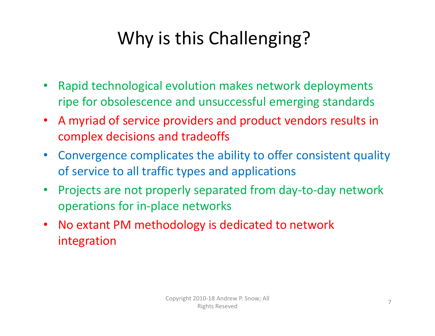### Why is this Challenging?

- $\bullet$  Rapid technological evolution makes network deployments ripe for obsolescence and unsuccessful emerging standards
- $\bullet$  A myriad of service providers and product vendors results in complex decisions and tradeoffs
- $\bullet$  Convergence complicates the ability to offer consistent quality of service to all traffic types and applications
- $\bullet$  Projects are not properly separated from day‐to‐day network operations for in‐place networks
- $\bullet$  No extant PM methodology is dedicated to network integration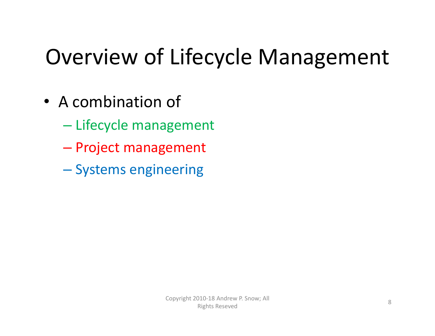## Overview of Lifecycle Management

- A combination of
	- Lifecycle management
	- Project management
	- Systems engineering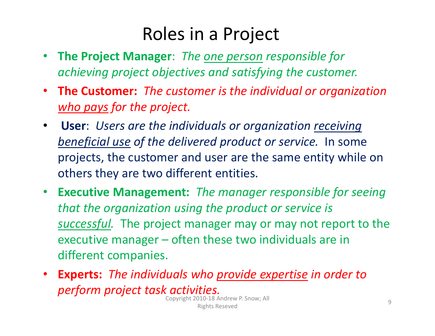#### Roles in <sup>a</sup> Project

- $\bullet$  **The Project Manager**: *The one person responsible for achieving project objectives and satisfying the customer.*
- **The Customer:** *The customer is the individual or organization who pays for the project.*
- $\bullet$  **User**: *Users are the individuals or organization receiving beneficial use of the delivered product or service.* In some projects, the customer and user are the same entity while on others they are two different entities.
- $\bullet$  **Executive Management:** *The manager responsible for seeing that the organization using the product or service is successful.* The project manager may or may not report to the executive manager – often these two individuals are in different companies.
- • **Experts:** *The individuals who provide expertise in order to perform project task activities.* Copyright <sup>2010</sup>‐<sup>18</sup> Andrew P. Snow; All Rights Reseved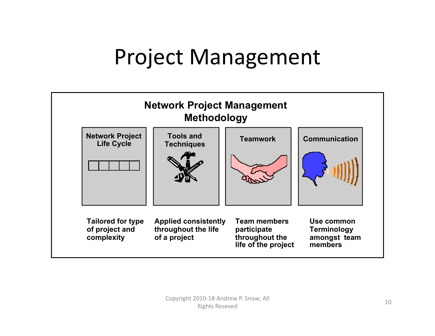## Project Management

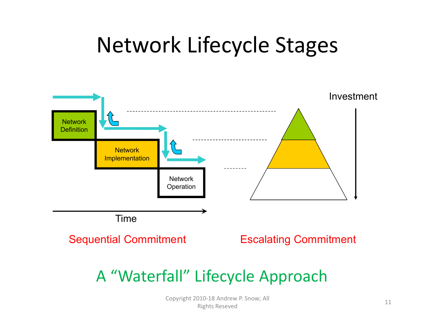## Network Lifecycle Stages

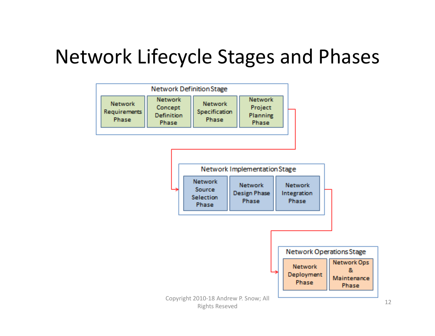### Network Lifecycle Stages and Phases

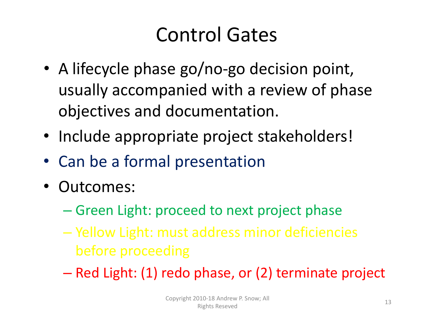## Control Gates

- A lifecycle phase go/no‐go decision point, usually accompanied with <sup>a</sup> review of phase objectives and documentation.
- Include appropriate project stakeholders!
- Can be <sup>a</sup> formal presentation
- Outcomes:
	- Green Light: proceed to next project phase
	- Yellow Light: must address minor deficiencies before proceeding
	- Red Light: (1) redo phase, or (2) terminate project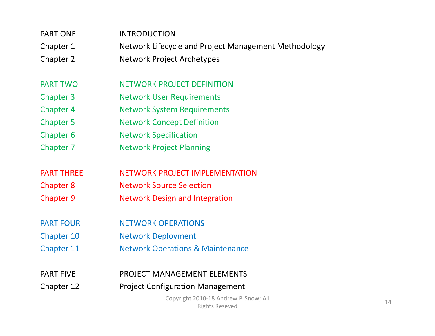| <b>PART ONE</b>   | <b>INTRODUCTION</b>                                            |  |  |  |  |
|-------------------|----------------------------------------------------------------|--|--|--|--|
| Chapter 1         | Network Lifecycle and Project Management Methodology           |  |  |  |  |
| Chapter 2         | <b>Network Project Archetypes</b>                              |  |  |  |  |
|                   |                                                                |  |  |  |  |
| <b>PART TWO</b>   | <b>NETWORK PROJECT DEFINITION</b>                              |  |  |  |  |
| <b>Chapter 3</b>  | <b>Network User Requirements</b>                               |  |  |  |  |
| <b>Chapter 4</b>  | <b>Network System Requirements</b>                             |  |  |  |  |
| <b>Chapter 5</b>  | <b>Network Concept Definition</b>                              |  |  |  |  |
| Chapter 6         | <b>Network Specification</b>                                   |  |  |  |  |
| Chapter 7         | <b>Network Project Planning</b>                                |  |  |  |  |
|                   |                                                                |  |  |  |  |
| <b>PART THREE</b> | <b>NETWORK PROJECT IMPLEMENTATION</b>                          |  |  |  |  |
| <b>Chapter 8</b>  | <b>Network Source Selection</b>                                |  |  |  |  |
| <b>Chapter 9</b>  | <b>Network Design and Integration</b>                          |  |  |  |  |
|                   |                                                                |  |  |  |  |
| <b>PART FOUR</b>  | <b>NETWORK OPERATIONS</b>                                      |  |  |  |  |
| <b>Chapter 10</b> | <b>Network Deployment</b>                                      |  |  |  |  |
| <b>Chapter 11</b> | <b>Network Operations &amp; Maintenance</b>                    |  |  |  |  |
|                   |                                                                |  |  |  |  |
| <b>PART FIVE</b>  | <b>PROJECT MANAGEMENT ELEMENTS</b>                             |  |  |  |  |
| Chapter 12        | <b>Project Configuration Management</b>                        |  |  |  |  |
|                   | Copyright 2010-18 Andrew P. Snow; All<br><b>Rights Reseved</b> |  |  |  |  |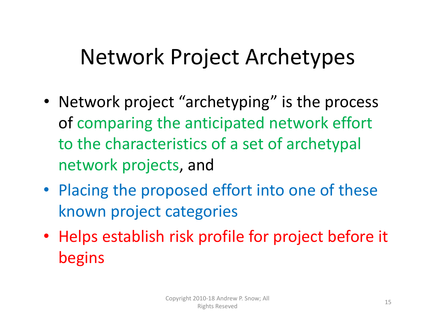## Network Project Archetypes

- Network project "archetyping" is the process of comparing the anticipated network effort to the characteristics of <sup>a</sup> set of archetypal network projects, and
- Placing the proposed effort into one of these known project categories
- Helps establish risk profile for project before it begins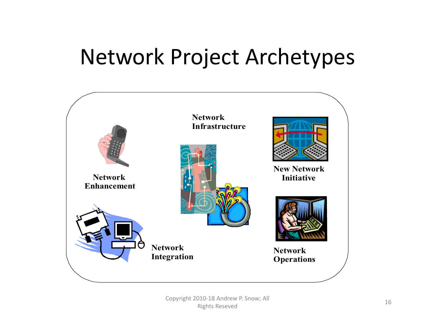## Network Project Archetypes

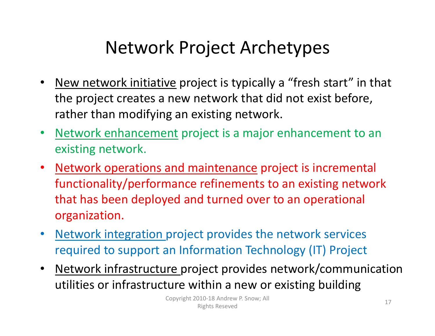### Network Project Archetypes

- •• New network initiative project is typically a "fresh start" in that the project creates <sup>a</sup> new network that did not exist before, rather than modifying an existing network.
- Network enhancement project is <sup>a</sup> major enhancement to an existing network.
- Network operations and maintenance project is incremental functionality/performance refinements to an existing network that has been deployed and turned over to an operational organization.
- •• Network integration project provides the network services required to support an Information Technology (IT) Project
- •• Network infrastructure project provides network/communication utilities or infrastructure within a new or existing building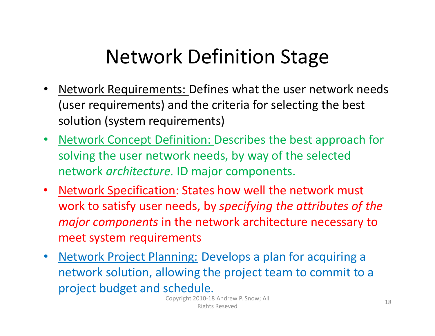## Network Definition Stage

- $\bullet$ • Network Requirements: Defines what the user network needs (user requirements) and the criteria for selecting the best solution (system requirements)
- Network Concept Definition: Describes the best approach for solving the user network needs, by way of the selected network *architecture.* ID major components.
- $\bullet$ • Network Specification: States how well the network must work to satisfy user needs, by *specifying the attributes of the major components* in the network architecture necessary to meet system requirements
- •• Network Project Planning: Develops a plan for acquiring a network solution, allowing the project team to commit to <sup>a</sup> project budget and schedule.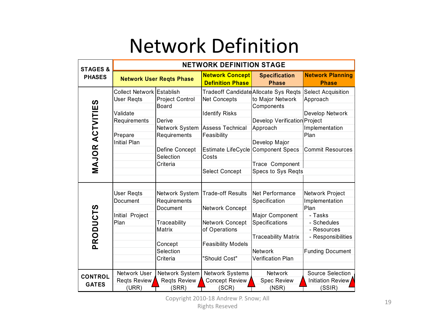### Network Definition

| <b>STAGES &amp;</b>    | <b>NETWORK DEFINITION STAGE</b>  |                        |                                                   |                                       |                                         |  |  |  |
|------------------------|----------------------------------|------------------------|---------------------------------------------------|---------------------------------------|-----------------------------------------|--|--|--|
| <b>PHASES</b>          | <b>Network User Regts Phase</b>  |                        | <b>Network Concept</b><br><b>Definition Phase</b> | <b>Specification</b><br><b>Phase</b>  | <b>Network Planning</b><br><b>Phase</b> |  |  |  |
|                        | <b>Collect Network Establish</b> |                        |                                                   | Tradeoff Candidate Allocate Sys Reqts | Select Acquisition                      |  |  |  |
|                        | <b>User Regts</b>                | <b>Project Control</b> | <b>Net Concepts</b>                               | to Major Network                      | Approach                                |  |  |  |
| <b>MAJOR ACTVITIES</b> |                                  | <b>Board</b>           |                                                   | Components                            |                                         |  |  |  |
|                        | Validate                         |                        | <b>Identify Risks</b>                             |                                       | Develop Network                         |  |  |  |
|                        | Requirements                     | Derive                 |                                                   | Develop Verification Project          |                                         |  |  |  |
|                        |                                  | Network System         | <b>Assess Technical</b>                           | Approach                              | Implementation                          |  |  |  |
|                        | Prepare                          | Requirements           | Feasibility                                       |                                       | Plan                                    |  |  |  |
|                        | <b>Initial Plan</b>              |                        |                                                   | Develop Major                         |                                         |  |  |  |
|                        |                                  | Define Concept         | Estimate LifeCycle Component Specs                |                                       | <b>Commit Resources</b>                 |  |  |  |
|                        |                                  | Selection              | Costs                                             |                                       |                                         |  |  |  |
|                        |                                  | Criteria               |                                                   | Trace Component                       |                                         |  |  |  |
|                        |                                  |                        | <b>Select Concept</b>                             | Specs to Sys Regts                    |                                         |  |  |  |
|                        |                                  |                        |                                                   |                                       |                                         |  |  |  |
|                        |                                  |                        |                                                   |                                       |                                         |  |  |  |
|                        | <b>User Regts</b>                | Network System         | <b>Trade-off Results</b>                          | Net Performance                       | Network Project                         |  |  |  |
|                        | Document                         | Requirements           |                                                   | Specification                         | Implementation                          |  |  |  |
| <b>PRODUCTS</b>        |                                  | Document               | Network Concept                                   |                                       | Plan                                    |  |  |  |
|                        | Initial Project                  |                        |                                                   | Major Component                       | - Tasks                                 |  |  |  |
|                        | Plan                             | Traceability           | Network Concept                                   | Specifications                        | - Schedules                             |  |  |  |
|                        |                                  | Matrix                 | of Operations                                     |                                       | - Resources                             |  |  |  |
|                        |                                  |                        |                                                   | <b>Traceability Matrix</b>            | - Responsibilities                      |  |  |  |
|                        |                                  | Concept                | <b>Feasibility Models</b>                         |                                       |                                         |  |  |  |
|                        |                                  | Selection              |                                                   | Network                               | <b>Funding Document</b>                 |  |  |  |
|                        |                                  | Criteria               | "Should Cost"                                     | <b>Verification Plan</b>              |                                         |  |  |  |
|                        |                                  |                        |                                                   |                                       |                                         |  |  |  |
| <b>CONTROL</b>         | Network User                     | Network System         | Network Systems                                   | <b>Network</b>                        | <b>Source Selection</b>                 |  |  |  |
| <b>GATES</b>           | Regts Review                     | <b>Regts Review</b>    | <b>Concept Review</b>                             | <b>Spec Review</b>                    | Initiation Review                       |  |  |  |
|                        | (URR)                            | (SRR)                  | (SCR)                                             | (NSR)                                 | (SSIR)                                  |  |  |  |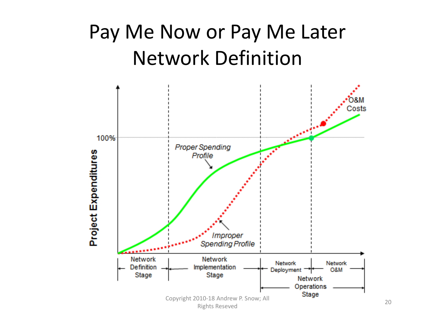### Pay Me Now or Pay Me Later Network Definition



20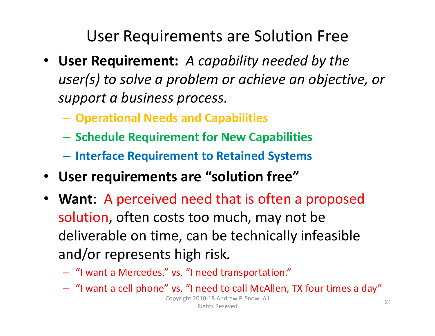User Requirements are Solution Free

- **User Requirement:** *A capability needed by the user(s) to solve <sup>a</sup> problem or achieve an objective, or support <sup>a</sup> business process.*
	- **Operational Needs and Capabilities**
	- –**Schedule Requirement for New Capabilities**
	- –**Interface Requirement to Retained Systems**
- **User requirements are "solution free"**
- **Want**: A perceived need that is often <sup>a</sup> proposed solution, often costs too much, may not be deliverable on time, can be technically infeasible and/or represents high risk*.*
	- "I want <sup>a</sup> Mercedes." vs. "I need transportation."
	- "I want <sup>a</sup> cell phone" vs. "I need to call McAllen, TX four times <sup>a</sup> day"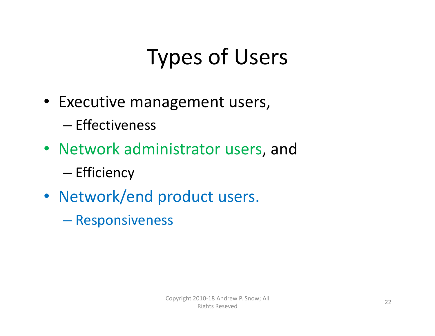# Types of Users

- Executive management users,
	- Effectiveness
- Network administrator users, and
	- Efficiency
- Network/end product users.
	- Responsiveness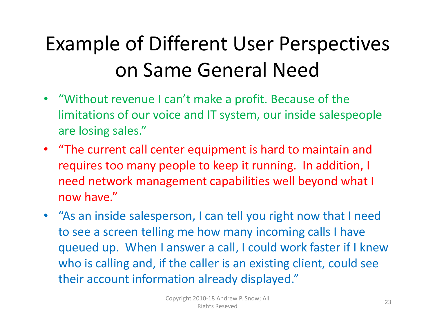## Example of Different User Perspectives on Same General Need

- "Without revenue I can't make <sup>a</sup> profit. Because of the limitations of our voice and IT system, our inside salespeople are losing sales."
- "The current call center equipment is hard to maintain and requires too many people to keep it running. In addition, I need network management capabilities well beyond what I now have."
- "As an inside salesperson, I can tell you right now that I need to see <sup>a</sup> screen telling me how many incoming calls I have queued up. When I answer <sup>a</sup> call, I could work faster if I knew who is calling and, if the caller is an existing client, could see their account information already displayed."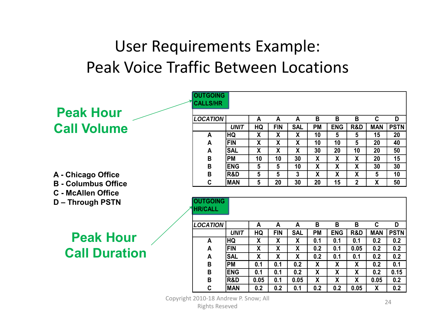#### User Requirements Example: Peak Voice Traffic Between Locations

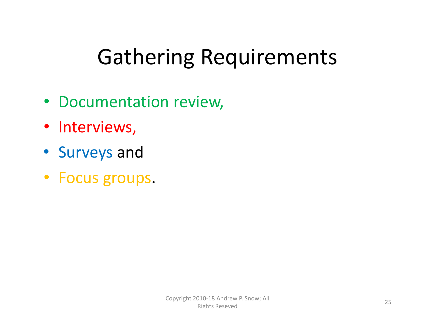## Gathering Requirements

- Documentation review,
- Interviews,
- Surveys and
- Focus groups.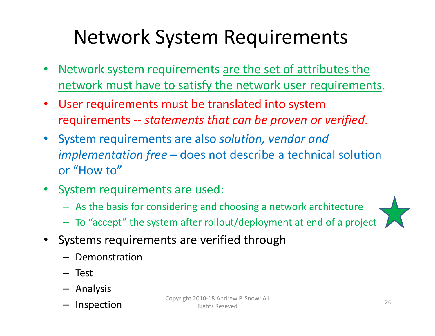### Network System Requirements

- •• Network system requirements are the set of attributes the network must have to satisfy the network user requirements.
- User requirements must be translated into system requirements ‐‐ *statements that can be proven or verified*.
- System requirements are also *solution, vendor and implementation free* – does not describe <sup>a</sup> technical solution or "How to"
- System requirements are used:
	- As the basis for considering and choosing <sup>a</sup> network architecture
	- To "accept" the system after rollout/deployment at end of <sup>a</sup> project



- Systems requirements are verified through
	- Demonstration
	- Test
	- Analysis
	- Inspection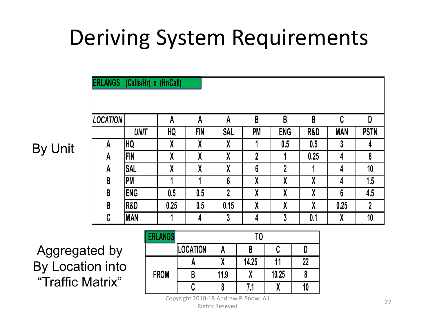## Deriving System Requirements

| <b>LOCATION</b> |             | A    | A          | A              | B  | B           | B    | C          | D                |
|-----------------|-------------|------|------------|----------------|----|-------------|------|------------|------------------|
|                 | <b>UNIT</b> | HQ   | <b>FIN</b> | <b>SAL</b>     | PM | <b>ENG</b>  | R&D  | <b>MAN</b> | <b>PSTN</b>      |
| A               | HQ          | χ    | χ          | X              |    | 0.5         | 0.5  | 3          | 4                |
| A               | <b>FIN</b>  | χ    | χ          | χ              | 2  |             | 0.25 | 4          | 8                |
| A               | <b>SAL</b>  | X    | X          | X              | 6  | $\mathbf 2$ | л    | 4          | 10               |
| B               | PM          |      |            | 6              | X  | χ           | χ    | 4          | 1.5              |
| B               | <b>ENG</b>  | 0.5  | 0.5        | $\overline{2}$ | X  | X           | X    | 6          | 4.5              |
| B               | R&D         | 0.25 | 0.5        | 0.15           | X  | χ           | χ    | 0.25       | $\boldsymbol{2}$ |
| C               | <b>MAN</b>  |      | 4          | 3              | 4  | 3           | 0.1  | X          | 10               |

Aggregated by By Location into "Traffic Matrix"

By Unit

| <b>ERLANGS</b> |                 |      |       |       |    |  |  |
|----------------|-----------------|------|-------|-------|----|--|--|
|                | <b>LOCATION</b> |      |       |       |    |  |  |
| <b>FROM</b>    | Л               |      | 14.25 | 11    | 22 |  |  |
|                |                 | 11.9 |       | 10.25 |    |  |  |
|                |                 |      | 7.1   |       |    |  |  |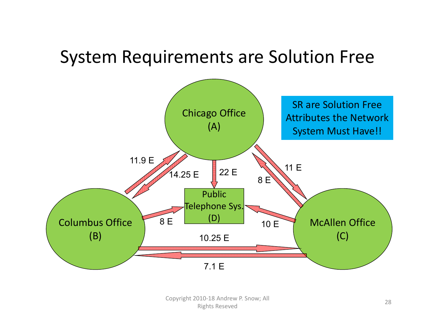#### System Requirements are Solution Free

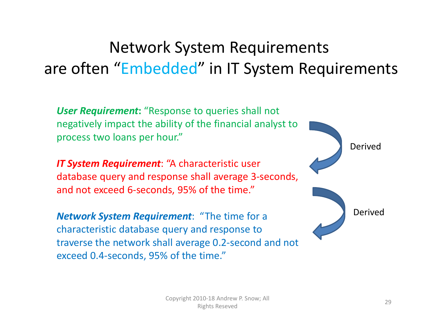#### Network System Requirements are often "Embedded" in IT System Requirements

*User Requirement***:** "Response to queries shall not negatively impact the ability of the financial analyst to process two loans per hour."

*IT System Requirement*: "A characteristic user database query and response shall average 3‐seconds, and not exceed 6‐seconds, 95% of the time."

*Network System Requirement*: "The time for <sup>a</sup> characteristic database query and response to traverse the network shall average 0.2‐second and not exceed 0.4‐seconds, 95% of the time."

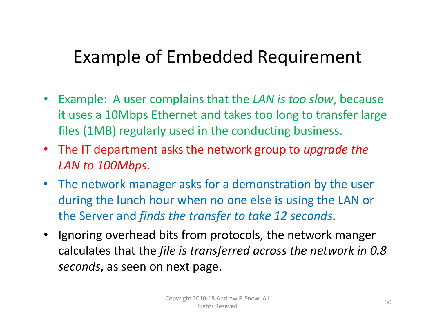#### Example of Embedded Requirement

- • Example: A user complains that the *LAN is too slow*, because it uses a 10Mbps Ethernet and takes too long to transfer large files (1MB) regularly used in the conducting business.
- The IT department asks the network group to *upgrade the LAN to 100Mbps*.
- The network manager asks for <sup>a</sup> demonstration by the user during the lunch hour when no one else is using the LAN or the Server and *finds the transfer to take 12 seconds*.
- Ignoring overhead bits from protocols, the network manger calculates that the *file is transferred across the network in 0.8 seconds*, as seen on next page.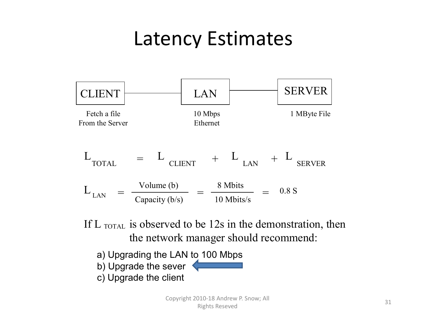### Latency Estimates



If L  $_{\text{TOTAL}}$  is observed to be 12s in the demonstration, then the network manager should recommend:

a) Upgrading the LAN to 100 Mbps b) Upgrade the sever c) Upgrade the client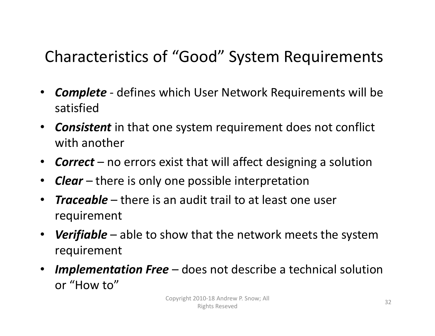#### Characteristics of "Good" System Requirements

- • *Complete* ‐ defines which User Network Requirements will be satisfied
- *Consistent* in that one system requirement does not conflict with another
- *Correct* no errors exist that will affect designing <sup>a</sup> solution
- •*Clear* – there is only one possible interpretation
- $\bullet$  *Traceable* – there is an audit trail to at least one user requirement
- *Verifiable* able to show that the network meets the system requirement
- *Implementation Free* does not describe <sup>a</sup> technical solution or "How to"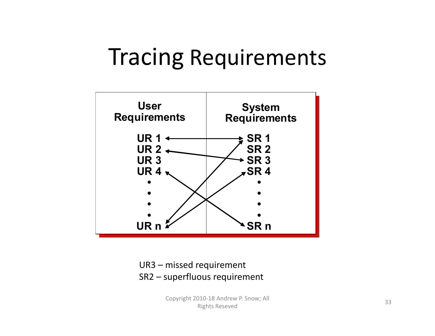## Tracing Requirements



UR3 – missed requirement SR2 – superfluous requirement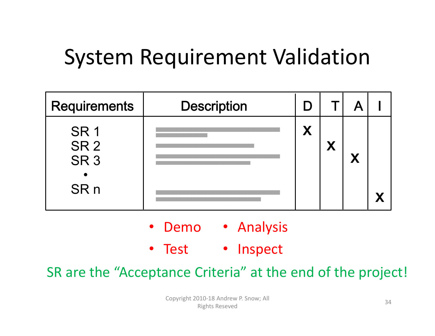## System Requirement Validation

| <b>Requirements</b>                                                      | <b>Description</b> |   |  |  |
|--------------------------------------------------------------------------|--------------------|---|--|--|
| SR <sub>1</sub><br>SR <sub>2</sub><br>SR <sub>3</sub><br>SR <sub>n</sub> |                    | X |  |  |

- •• Demo • Analysis
- Test • Inspect

SR are the "Acceptance Criteria" at the end of the project!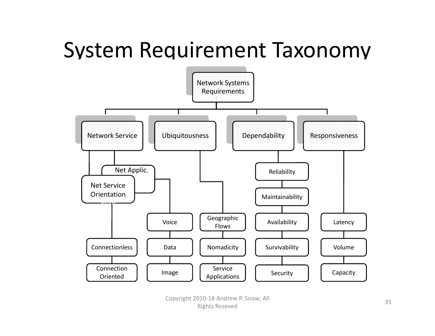## System Requirement Taxonomy

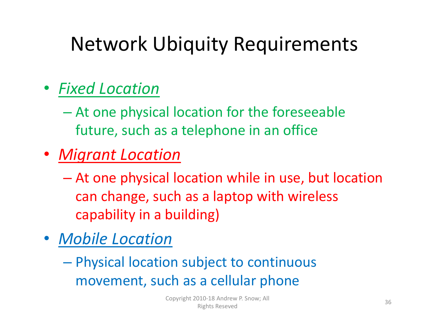## Network Ubiquity Requirements

#### • *Fixed Location*

- At one physical location for the foreseeable future, such as <sup>a</sup> telephone in an office
- *Migrant Location*
	- At one physical location while in use, but location can change, such as <sup>a</sup> laptop with wireless capability in <sup>a</sup> building)
- *Mobile Location*
	- Physical location subject to continuous movement, such as <sup>a</sup> cellular phone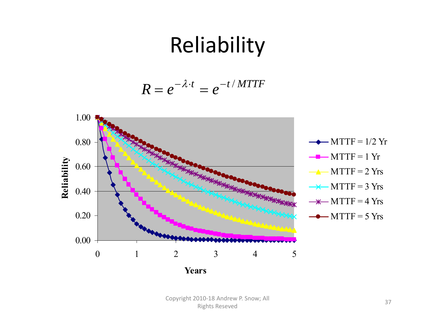## Reliability

$$
R = e^{-\lambda \cdot t} = e^{-t / MTTF}
$$

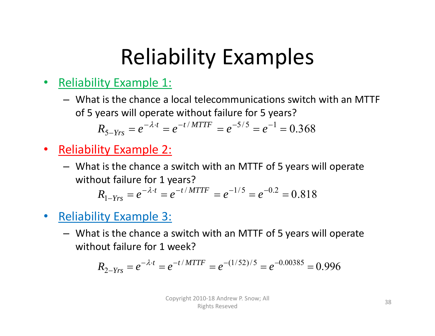## Reliability Examples

- $\bullet$  Reliability Example 1:
	- What is the chance <sup>a</sup> local telecommunications switch with an MTTF of 5 years will operate without failure for 5 years?

$$
R_{5-Yrs} = e^{-\lambda \cdot t} = e^{-t/MTTF} = e^{-5/5} = e^{-1} = 0.368
$$

- $\bullet$  Reliability Example 2:
	- What is the chance <sup>a</sup> switch with an MTTF of 5 years will operate without failure for 1 years?

$$
R_{1-Yrs} = e^{-\lambda \cdot t} = e^{-t/MTTF} = e^{-1/5} = e^{-0.2} = 0.818
$$

- $\bullet$  Reliability Example 3:
	- What is the chance <sup>a</sup> switch with an MTTF of 5 years will operate without failure for 1 week?

$$
R_{2-Yrs} = e^{-\lambda \cdot t} = e^{-t/MTTF} = e^{-(1/52)/5} = e^{-0.00385} = 0.996
$$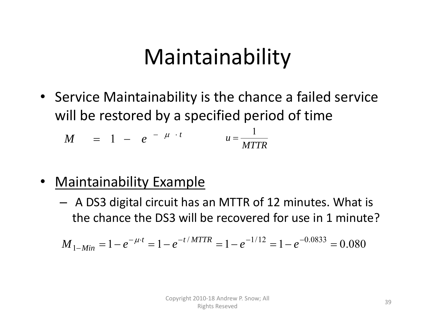## Maintainability

• Service Maintainability is the chance <sup>a</sup> failed service will be restored by <sup>a</sup> specified period of time

$$
M = 1 - e^{-\mu \cdot t} \qquad u = \frac{1}{MTTR}
$$

- • Maintainability Example
	- A DS3 digital circuit has an MTTR of 12 minutes. What is the chance the DS3 will be recovered for use in 1 minute?

$$
M_{1-Min} = 1 - e^{-\mu \cdot t} = 1 - e^{-t/MTTR} = 1 - e^{-1/12} = 1 - e^{-0.0833} = 0.080
$$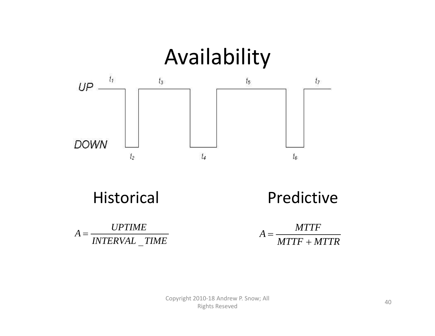

Historical Predictive



 $MTTF+MTTR$ *MTTF* $A=\frac{m}{2}$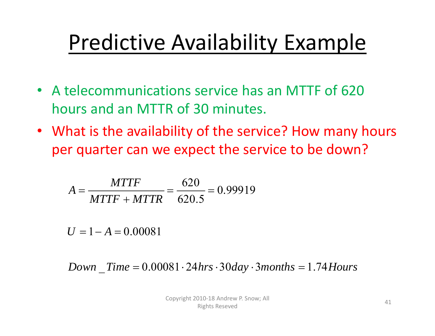## Predictive Availability Example

- A telecommunications service has an MTTF of 620 hours and an MTTR of 30 minutes.
- What is the availability of the service? How many hours per quarter can we expect the service to be down?

$$
A = \frac{MTTF}{MTTF + MTTR} = \frac{620}{620.5} = 0.99919
$$

 $U = 1 - A = 0.00081$ 

 $Down\_Time = 0.00081 \cdot 24 hrs \cdot 30 day \cdot 3 months = 1.74 Hours$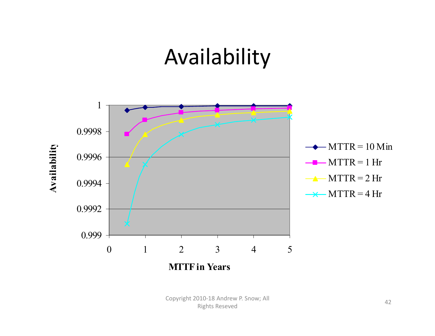## Availability

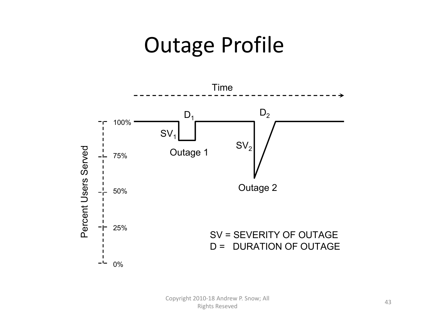### Outage Profile

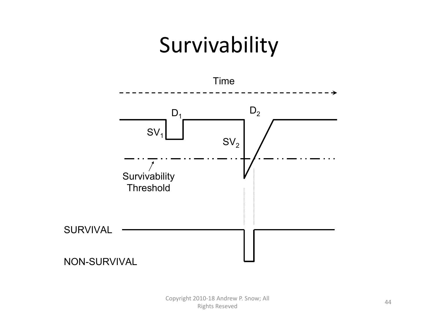## Survivability

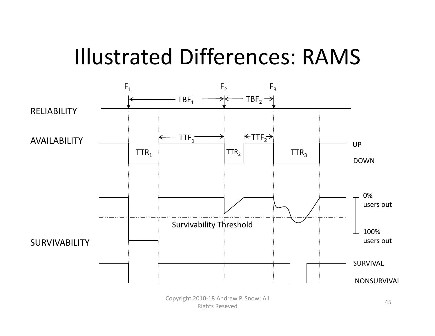### Illustrated Differences: RAMS

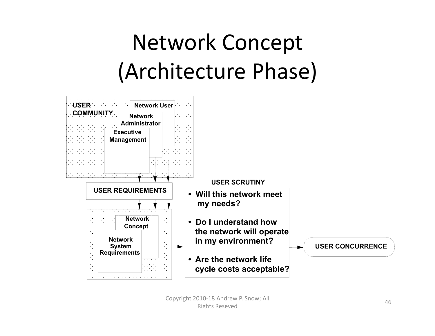## Network Concept (Architecture Phase)

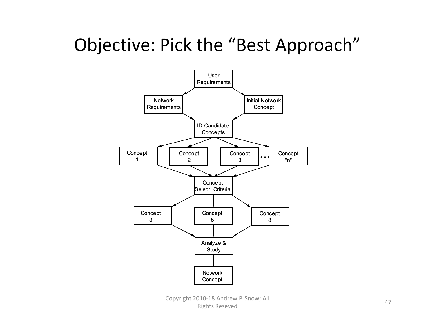### Objective: Pick the "Best Approach"

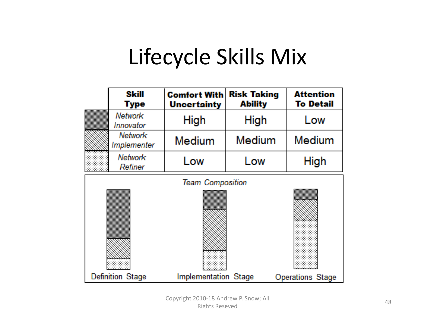## Lifecycle Skills Mix

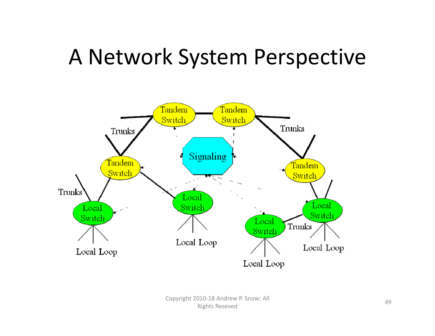### A Network System Perspective

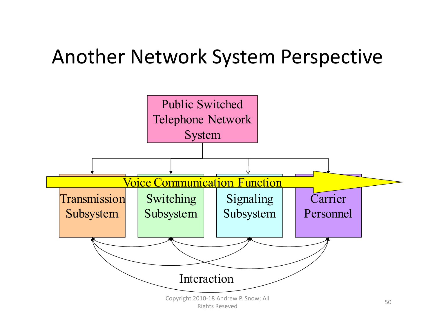### Another Network System Perspective

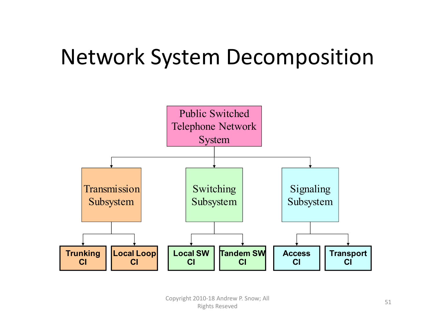## Network System Decomposition

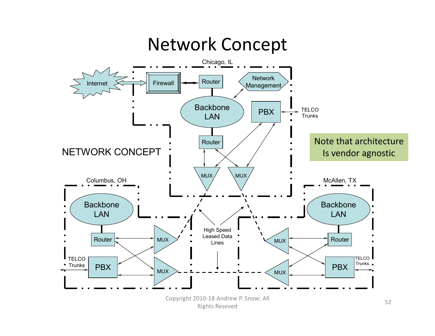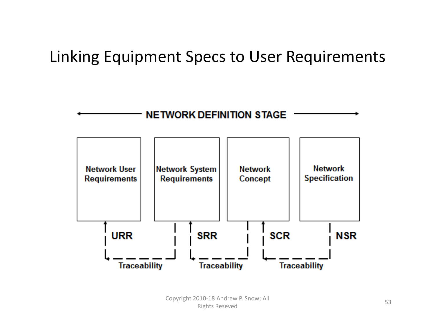#### Linking Equipment Specs to User Requirements

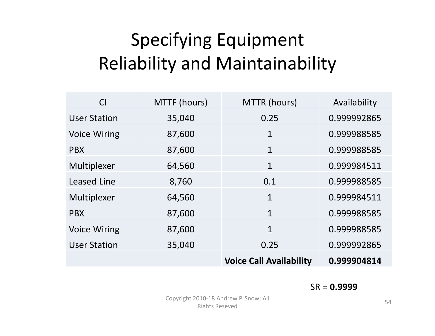### Specifying Equipment Reliability and Maintainability

| C <sub>I</sub>      | MTTF (hours) | MTTR (hours)                   | Availability |
|---------------------|--------------|--------------------------------|--------------|
| <b>User Station</b> | 35,040       | 0.25                           | 0.999992865  |
| <b>Voice Wiring</b> | 87,600       | 1                              | 0.999988585  |
| <b>PBX</b>          | 87,600       | $\mathbf{1}$                   | 0.999988585  |
| Multiplexer         | 64,560       | $\mathbf{1}$                   | 0.999984511  |
| <b>Leased Line</b>  | 8,760        | 0.1                            | 0.999988585  |
| Multiplexer         | 64,560       | $\mathbf{1}$                   | 0.999984511  |
| <b>PBX</b>          | 87,600       | 1                              | 0.999988585  |
| <b>Voice Wiring</b> | 87,600       | 1                              | 0.999988585  |
| <b>User Station</b> | 35,040       | 0.25                           | 0.999992865  |
|                     |              | <b>Voice Call Availability</b> | 0.999904814  |

#### SR <sup>=</sup> **0.9999**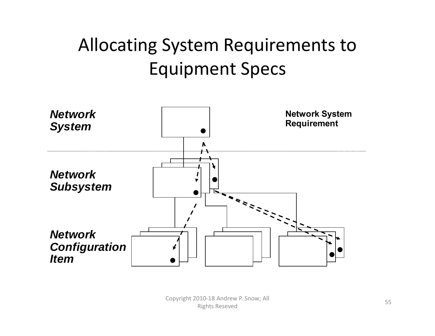### Allocating System Requirements to Equipment Specs

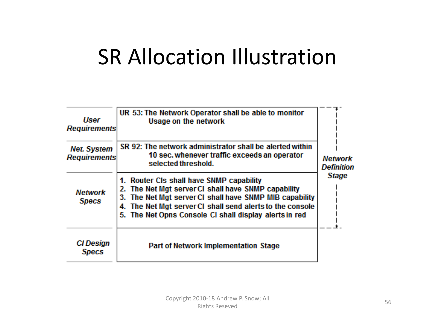### SR Allocation Illustration

| User<br><b>Requirements</b><br><b>Net. System</b><br><b>Requirements</b><br><b>Network</b><br><b>Specs</b> | UR 53: The Network Operator shall be able to monitor<br><b>Usage on the network</b><br>SR 92: The network administrator shall be alerted within<br>10 sec. whenever traffic exceeds an operator<br>selected threshold.<br>1. Router CIs shall have SNMP capability<br>2. The Net Mgt server CI shall have SNMP capability<br>3. The Net Mgt server CI shall have SNMP MIB capability<br>The Net Mgt server CI shall send alerts to the console<br>4.<br>5. The Net Opns Console CI shall display alerts in red | <b>Network</b><br><b>Definition</b><br><b>Stage</b> |
|------------------------------------------------------------------------------------------------------------|----------------------------------------------------------------------------------------------------------------------------------------------------------------------------------------------------------------------------------------------------------------------------------------------------------------------------------------------------------------------------------------------------------------------------------------------------------------------------------------------------------------|-----------------------------------------------------|
| <b>CI</b> Design<br><b>Specs</b>                                                                           | <b>Part of Network Implementation Stage</b>                                                                                                                                                                                                                                                                                                                                                                                                                                                                    |                                                     |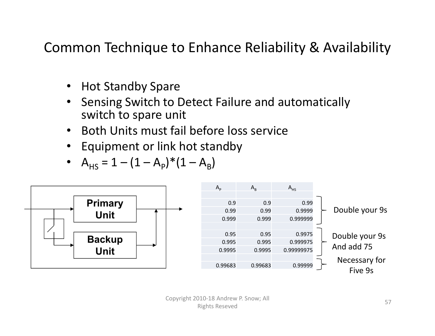#### Common Technique to Enhance Reliability & Availability

- •Hot Standby Spare
- • Sensing Switch to Detect Failure and automatically switch to spare unit
- •• Both Units must fail before loss service
- $\bullet$ Equipment or link hot standby

• 
$$
A_{HS} = 1 - (1 - A_P)^*(1 - A_B)
$$

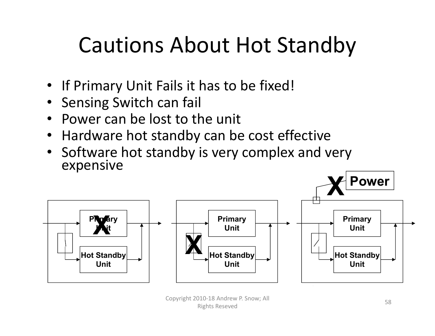## Cautions About Hot Standby

- If Primary Unit Fails it has to be fixed!
- •Sensing Switch can fail
- Power can be lost to the unit
- Hardware hot standby can be cost effective
- Software hot standby is very complex and very expensive



Copyright 2010‐18 Andrew P. Snow; All Product and the control of the control of the control of the control of the control of the control of the control of the control of the control of the control of the control of the control of the control of the control of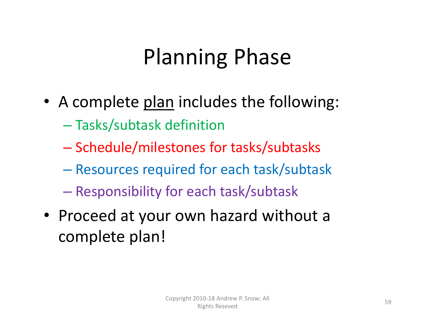## Planning Phase

- A complete plan includes the following:
	- Tasks/subtask definition
	- Schedule/milestones for tasks/subtasks
	- Resources required for each task/subtask
	- Responsibility for each task/subtask
- Proceed at your own hazard without <sup>a</sup> complete plan!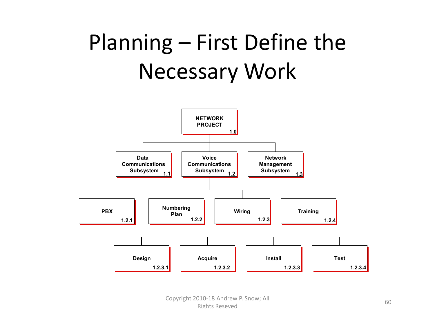## Planning – First Define the Necessary Work

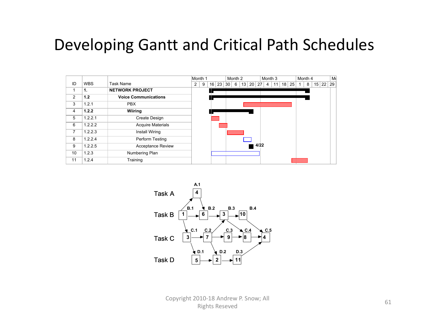#### Developing Gantt and Critical Path Schedules

|    |            |                             |   | Month 1 |       |    | Month <sub>2</sub> |    |                 |      | Month <sub>3</sub> |    |    |    | Month 4 |   |       | M  |
|----|------------|-----------------------------|---|---------|-------|----|--------------------|----|-----------------|------|--------------------|----|----|----|---------|---|-------|----|
| ID | <b>WBS</b> | Task Name                   | 2 | 9       | 16 23 | 30 | 6                  | 13 | 20 <sub>1</sub> | 27   | 4                  | 11 | 18 | 25 |         | 8 | 15 22 | 29 |
| 1  | 1.         | <b>NETWORK PROJECT</b>      |   |         |       |    |                    |    |                 |      |                    |    |    |    |         |   |       |    |
| 2  | 1.2        | <b>Voice Communications</b> |   |         |       |    |                    |    |                 |      |                    |    |    |    |         |   |       |    |
| 3  | 1.2.1      | <b>PBX</b>                  |   |         |       |    |                    |    |                 |      |                    |    |    |    |         |   |       |    |
| 4  | 1.2.2      | <b>Wiiring</b>              |   |         |       |    |                    |    |                 |      |                    |    |    |    |         |   |       |    |
| 5  | 1.2.2.1    | Create Design               |   |         |       |    |                    |    |                 |      |                    |    |    |    |         |   |       |    |
| 6  | 1.2.2.2    | <b>Acquire Materials</b>    |   |         |       |    |                    |    |                 |      |                    |    |    |    |         |   |       |    |
| 7  | 1.2.2.3    | Install Wiring              |   |         |       |    |                    |    |                 |      |                    |    |    |    |         |   |       |    |
| 8  | 1.2.2.4    | Perform Testing             |   |         |       |    |                    |    |                 |      |                    |    |    |    |         |   |       |    |
| 9  | 1.2.2.5    | <b>Acceptance Review</b>    |   |         |       |    |                    |    |                 | 4/22 |                    |    |    |    |         |   |       |    |
| 10 | 1.2.3      | Numbering Plan              |   |         |       |    |                    |    |                 |      |                    |    |    |    |         |   |       |    |
| 11 | 1.2.4      | Training                    |   |         |       |    |                    |    |                 |      |                    |    |    |    |         |   |       |    |

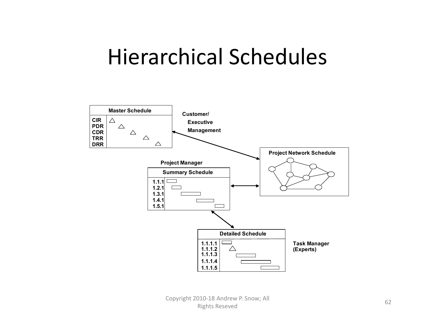### Hierarchical Schedules

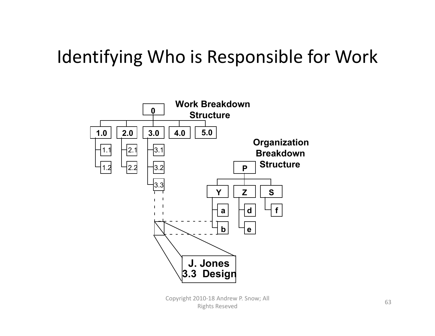### Identifying Who is Responsible for Work

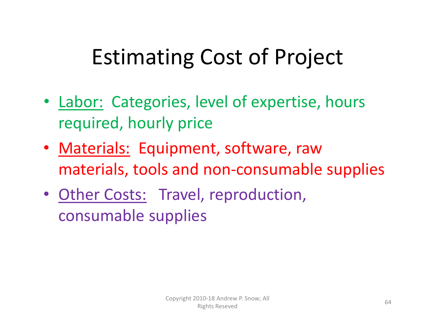## Estimating Cost of Project

- Labor: Categories, level of expertise, hours required, hourly price
- Materials: Equipment, software, raw materials, tools and non‐consumable supplies
- Other Costs: Travel, reproduction, consumable supplies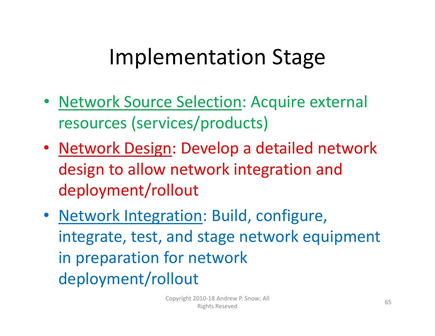## Implementation Stage

- Network Source Selection: Acquire external resources (services/products)
- Network Design: Develop a detailed network design to allow network integration and deployment/rollout
- Network Integration: Build, configure, integrate, test, and stage network equipment in preparation for network deployment/rollout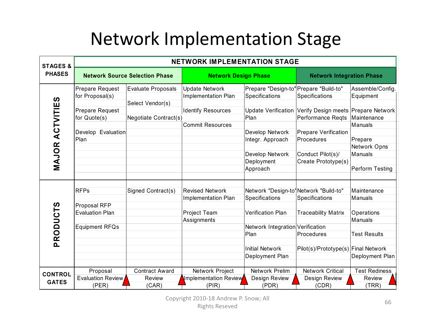### Network Implementation Stage

| <b>STAGES &amp;</b> | <b>NETWORK IMPLEMENTATION STAGE</b> |                                       |                             |                                        |                                     |                      |  |  |  |  |  |
|---------------------|-------------------------------------|---------------------------------------|-----------------------------|----------------------------------------|-------------------------------------|----------------------|--|--|--|--|--|
| <b>PHASES</b>       |                                     | <b>Network Source Selection Phase</b> | <b>Network Design Phase</b> |                                        | <b>Network Integration Phase</b>    |                      |  |  |  |  |  |
|                     | Prepare Request                     | Evaluate Proposals                    | <b>Update Network</b>       | Prepare "Design-to" Prepare "Build-to" |                                     | Assemble/Config      |  |  |  |  |  |
|                     | for Proposal(s)                     |                                       | Implementation Plan         | Specifications                         | Specifications                      | Equipment            |  |  |  |  |  |
| MAJOR ACTVITIES     |                                     | Select Vendor(s)                      |                             |                                        |                                     |                      |  |  |  |  |  |
|                     | Prepare Request                     |                                       | <b>Identify Resources</b>   | <b>Update Verification</b>             | Verify Design meets Prepare Network |                      |  |  |  |  |  |
|                     | for Quote(s)                        | Negotiate Contract(s)                 |                             | Plan                                   | Performance Regts                   | Maintenance          |  |  |  |  |  |
|                     |                                     |                                       | <b>Commit Resources</b>     |                                        |                                     | Manuals              |  |  |  |  |  |
|                     | Develop Evaluation                  |                                       |                             | Develop Network                        | <b>Prepare Verification</b>         |                      |  |  |  |  |  |
|                     | Plan                                |                                       |                             | Integr. Approach                       | Procedures                          | Prepare              |  |  |  |  |  |
|                     |                                     |                                       |                             |                                        |                                     | Network Opns         |  |  |  |  |  |
|                     |                                     |                                       |                             | Develop Network                        | Conduct Pilot(s)/                   | Manuals              |  |  |  |  |  |
|                     |                                     |                                       |                             | Deployment                             | Create Prototype(s)                 |                      |  |  |  |  |  |
|                     |                                     |                                       |                             | Approach                               |                                     | Perform Testing      |  |  |  |  |  |
|                     |                                     |                                       |                             |                                        |                                     |                      |  |  |  |  |  |
|                     | <b>RFPs</b>                         | Signed Contract(s)                    | <b>Revised Network</b>      | Network "Design-to' Network "Build-to" |                                     | Maintenance          |  |  |  |  |  |
|                     |                                     |                                       | <b>Implementation Plan</b>  | Specifications                         | Specifications                      | Manuals              |  |  |  |  |  |
|                     | Proposal RFP                        |                                       |                             |                                        |                                     |                      |  |  |  |  |  |
|                     | <b>Evaluation Plan</b>              |                                       | <b>Project Team</b>         | <b>Verification Plan</b>               | <b>Traceability Matrix</b>          | Operations           |  |  |  |  |  |
|                     |                                     |                                       | Assignments                 |                                        |                                     | Manuals              |  |  |  |  |  |
|                     | Equipment RFQs                      |                                       |                             | Network Integration Verification       |                                     |                      |  |  |  |  |  |
| PRODUCTS            |                                     |                                       |                             | Plan                                   | Procedures                          | <b>Test Results</b>  |  |  |  |  |  |
|                     |                                     |                                       |                             |                                        |                                     |                      |  |  |  |  |  |
|                     |                                     |                                       |                             | <b>Initial Network</b>                 | Pilot(s)/Prototype(s) Final Network |                      |  |  |  |  |  |
|                     |                                     |                                       |                             | Deployment Plan                        |                                     | Deployment Plan      |  |  |  |  |  |
|                     |                                     |                                       |                             |                                        |                                     |                      |  |  |  |  |  |
| <b>CONTROL</b>      | Proposal                            | <b>Contract Award</b>                 | Network Project             | <b>Network Prelim</b>                  | <b>Network Critical</b>             | <b>Test Rediness</b> |  |  |  |  |  |
|                     | Evaluation Review                   | Review                                | Implementation Review       | Design Review                          | Design Review                       | Review               |  |  |  |  |  |
| <b>GATES</b>        | (PER)                               | (CAR)                                 | (PIR)                       | (PDR)                                  | (CDR)                               | (TRR)                |  |  |  |  |  |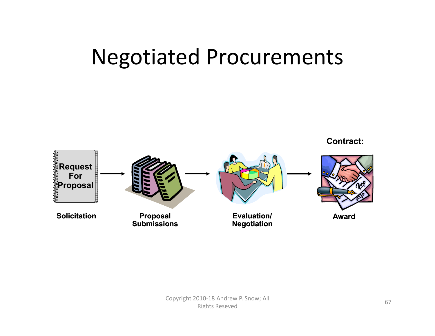### Negotiated Procurements

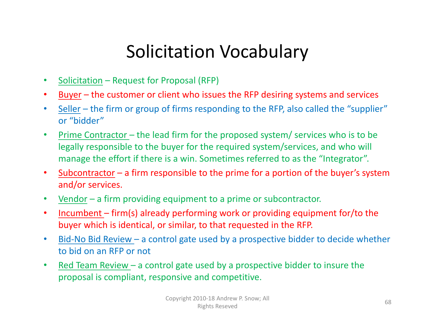### Solicitation Vocabulary

- $\bullet$ Solicitation – Request for Proposal (RFP)
- •Buyer – the customer or client who issues the RFP desiring systems and services
- •• Seller – the firm or group of firms responding to the RFP, also called the "supplier" or "bidder"
- $\bullet$ • Prime Contractor – the lead firm for the proposed system/ services who is to be legally responsible to the buyer for the required system/services, and who will manage the effort if there is a win. Sometimes referred to as the "Integrator".
- $\bullet$ • Subcontractor – a firm responsible to the prime for a portion of the buyer's system and/or services.
- $\bullet$ • Vendor – a firm providing equipment to a prime or subcontractor.
- $\bullet$  Incumbent – firm(s) already performing work or providing equipment for/to the buyer which is identical, or similar, to that requested in the RFP.
- $\bullet$ • Bid-No Bid Review – a control gate used by a prospective bidder to decide whether to bid on an RFP or not
- $\bullet$ • Red Team Review – a control gate used by a prospective bidder to insure the proposal is compliant, responsive and competitive.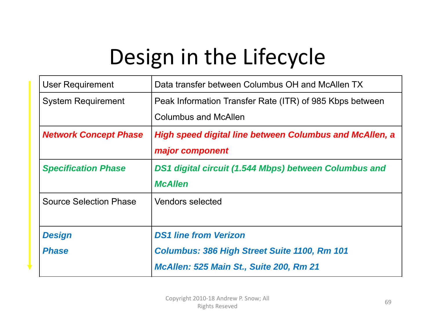# Design in the Lifecycle

| <b>User Requirement</b>       | Data transfer between Columbus OH and McAllen TX               |  |  |  |  |
|-------------------------------|----------------------------------------------------------------|--|--|--|--|
| <b>System Requirement</b>     | Peak Information Transfer Rate (ITR) of 985 Kbps between       |  |  |  |  |
|                               | <b>Columbus and McAllen</b>                                    |  |  |  |  |
| <b>Network Concept Phase</b>  | <b>High speed digital line between Columbus and McAllen, a</b> |  |  |  |  |
|                               | major component                                                |  |  |  |  |
| <b>Specification Phase</b>    | DS1 digital circuit (1.544 Mbps) between Columbus and          |  |  |  |  |
|                               | <b>McAllen</b>                                                 |  |  |  |  |
| <b>Source Selection Phase</b> | <b>Vendors selected</b>                                        |  |  |  |  |
|                               |                                                                |  |  |  |  |
| <b>Design</b>                 | <b>DS1 line from Verizon</b>                                   |  |  |  |  |
| <b>Phase</b>                  | <b>Columbus: 386 High Street Suite 1100, Rm 101</b>            |  |  |  |  |
|                               | McAllen: 525 Main St., Suite 200, Rm 21                        |  |  |  |  |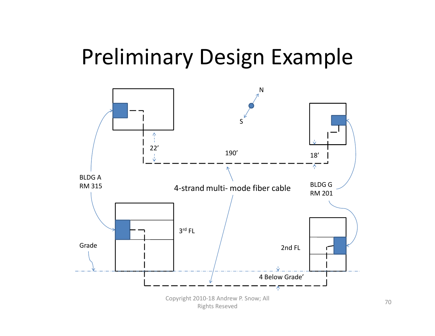### Preliminary Design Example

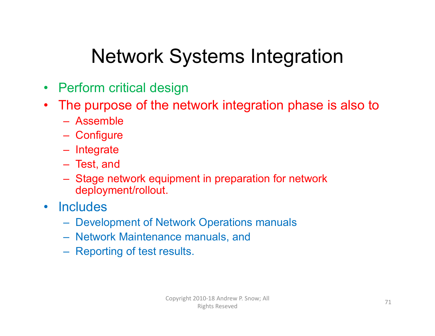### Network Systems Integration

- Perform critical design
- $\bullet$  The purpose of the network integration phase is also to
	- Assemble
	- **Configure**
	- Integrate
	- Test, and
	- Stage network equipment in preparation for network deployment/rollout.
- Includes
	- Development of Network Operations manuals
	- Network Maintenance manuals, and
	- Reporting of test results.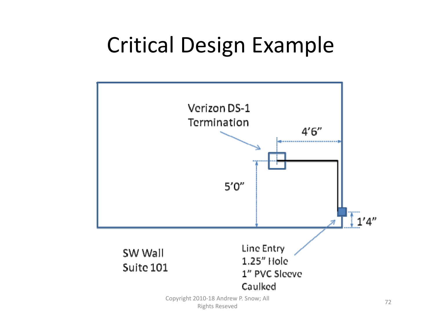## Critical Design Example



72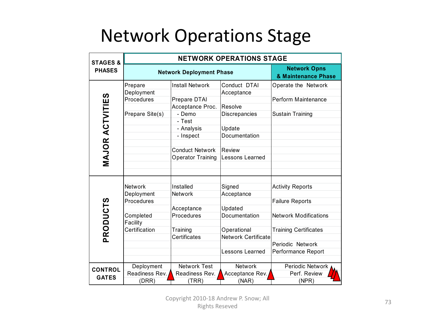#### Network Operations Stage

| <b>STAGES &amp;</b><br><b>PHASES</b> | <b>NETWORK OPERATIONS STAGE</b> |                          |                            |                                            |
|--------------------------------------|---------------------------------|--------------------------|----------------------------|--------------------------------------------|
|                                      | <b>Network Deployment Phase</b> |                          |                            | <b>Network Opns</b><br>& Maintenance Phase |
| <b>MAJOR ACTVITIES</b>               | Prepare                         | <b>Install Network</b>   | Conduct DTAI               | Operate the Network                        |
|                                      | Deployment                      |                          | Acceptance                 |                                            |
|                                      | Procedures                      | Prepare DTAI             |                            | Perform Maintenance                        |
|                                      |                                 | Acceptance Proc.         | Resolve                    |                                            |
|                                      | Prepare Site(s)                 | - Demo                   | Discrepancies              | <b>Sustain Training</b>                    |
|                                      |                                 | - Test                   |                            |                                            |
|                                      |                                 | - Analysis               | Update                     |                                            |
|                                      |                                 | - Inspect                | Documentation              |                                            |
|                                      |                                 |                          |                            |                                            |
|                                      |                                 | <b>Conduct Network</b>   | Review                     |                                            |
|                                      |                                 | <b>Operator Training</b> | Lessons Learned            |                                            |
|                                      |                                 |                          |                            |                                            |
|                                      |                                 |                          |                            |                                            |
| PRODUCTS                             |                                 |                          |                            |                                            |
|                                      | <b>Network</b>                  | Installed                | Signed                     | <b>Activity Reports</b>                    |
|                                      | Deployment                      | Network                  | Acceptance                 |                                            |
|                                      | Procedures                      |                          |                            | <b>Failure Reports</b>                     |
|                                      |                                 | Acceptance               | Updated                    |                                            |
|                                      | Completed                       | Procedures               | Documentation              | <b>Network Modifications</b>               |
|                                      | Facility                        |                          |                            |                                            |
|                                      | Certification                   | Training                 | Operational                | <b>Training Certificates</b>               |
|                                      |                                 | Certificates             | <b>Network Certificate</b> |                                            |
|                                      |                                 |                          |                            | Periodic Network                           |
|                                      |                                 |                          | Lessons Learned            | Performance Report                         |
|                                      |                                 |                          |                            |                                            |
| <b>CONTROL</b><br><b>GATES</b>       | Deployment                      | <b>Network Test</b>      | <b>Network</b>             | Periodic Network                           |
|                                      | Readiness Rev.                  | Readiness Rev.           | Acceptance Rev.            | Perf. Review                               |
|                                      | (DRR)                           | (TRR)                    | (NAR)                      | (NPR)                                      |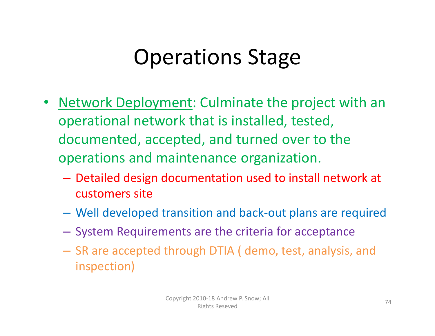# Operations Stage

- $\bullet$ • Network Deployment: Culminate the project with an operational network that is installed, tested, documented, accepted, and turned over to the operations and maintenance organization.
	- Detailed design documentation used to install network at customers site
	- –Well developed transition and back‐out plans are required
	- – $-$  System Requirements are the criteria for acceptance
	- SR are accepted through DTIA ( demo, test, analysis, and inspection)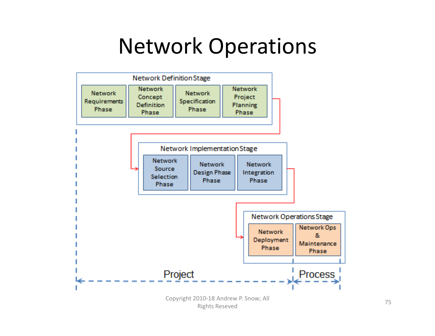#### Network Operations

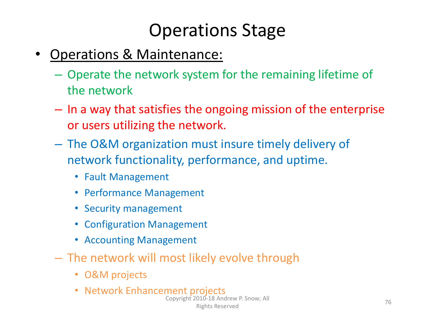#### Operations Stage

- • Operations & Maintenance:
	- Operate the network system for the remaining lifetime of the network
	- **Links of the Company**  $-$  In a way that satisfies the ongoing mission of the enterprise or users utilizing the network.
	- The O&M organization must insure timely delivery of network functionality, performance, and uptime.
		- Fault Management
		- Performance Management
		- Security management
		- Configuration Management
		- Accounting Management
	- The network will most likely evolve through
		- O&M projects
		- Network Enhancement projects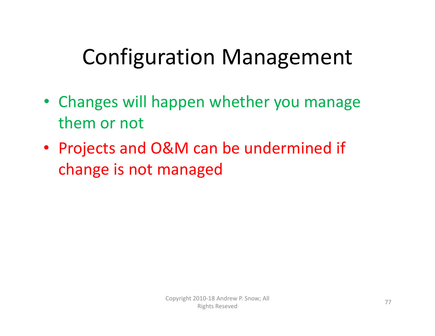# Configuration Management

- Changes will happen whether you manage them or not
- Projects and O&M can be undermined if change is not managed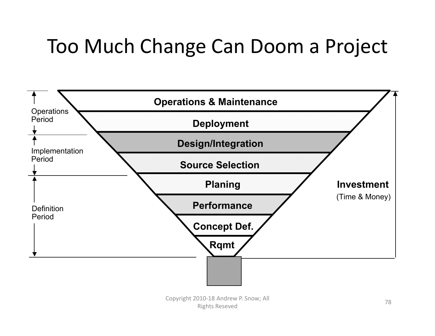#### Too Much Change Can Doom <sup>a</sup> Project

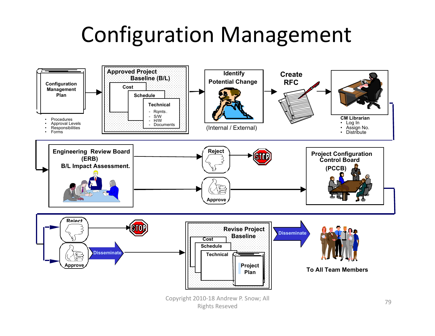### Configuration Management

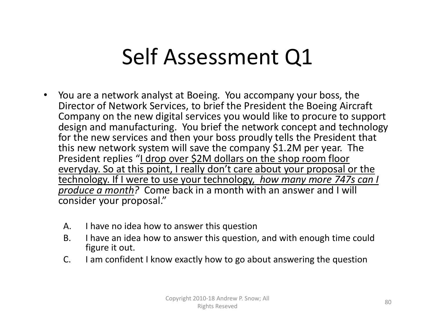## Self Assessment Q1

- • You are <sup>a</sup> network analyst at Boeing. You accompany your boss, the Director of Network Services, to brief the President the Boeing Aircraft Company on the new digital services you would like to procure to support design and manufacturing. You brief the network concept and technology for the new services and then your boss proudly tells the President that this new network system will save the company \$1.2M per year. The President replies "<u>I drop over \$2M dollars on the shop room floor</u> everyday. So at this point, I really don't care about your proposal or the technology. If I were to use your technology, *how many more 747s can I produce <sup>a</sup> month?* Come back in <sup>a</sup> month with an answer and I will consider your proposal."
	- $A<sub>1</sub>$ have no idea how to answer this question
	- $B<sub>1</sub>$  have an idea how to answer this question, and with enough time could figure it out.
	- $C<sub>1</sub>$ I am confident I know exactly how to go about answering the question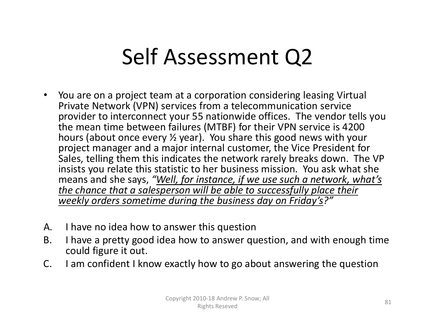# Self Assessment Q2

- • You are on <sup>a</sup> project team at <sup>a</sup> corporation considering leasing Virtual Private Network (VPN) services from <sup>a</sup> telecommunication service provider to interconnect your 55 nationwide offices. The vendor tells you the mean time between failures (MTBF) for their VPN service is 4200 hours (about once every ½ year). You share this good news with your project manager and <sup>a</sup> major internal customer, the Vice President for Sales, telling them this indicates the network rarely breaks down. The VP insists you relate this statistic to her business mission. You ask what she means and she says, *"Well, for instance, if we use such <sup>a</sup> network, what's the chance that <sup>a</sup> salesperson will be able to successfully place their weekly orders sometime during the business day on Friday's?"*
- $A<sub>1</sub>$ have no idea how to answer this question
- $B<sub>1</sub>$  have <sup>a</sup> pretty good idea how to answer question, and with enough time could figure it out.
- $C_{1}$ am confident I know exactly how to go about answering the question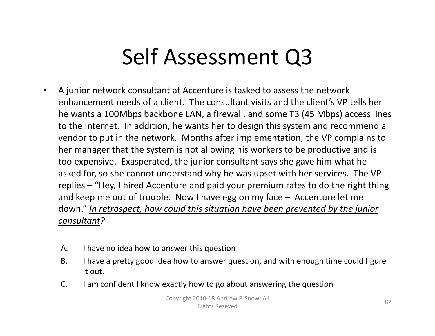# Self Assessment Q3

- $\bullet$  A junior network consultant at Accenture is tasked to assess the network enhancement needs of <sup>a</sup> client. The consultant visits and the client's VP tells her he wants <sup>a</sup> 100Mbps backbone LAN, <sup>a</sup> firewall, and some T3 (45 Mbps) access lines to the Internet. In addition, he wants her to design this system and recommend <sup>a</sup> vendor to put in the network. Months after implementation, the VP complains to her manager that the system is not allowing his workers to be productive and is too expensive. Exasperated, the junior consultant says she gave him what he asked for, so she cannot understand why he was upset with her services. The VP replies – "Hey, I hired Accenture and paid your premium rates to do the right thing and keep me out of trouble. Now I have egg on my face – Accenture let me down." *In retrospect, how could this situation have been prevented by the junior consultant?*
	- $A<sub>1</sub>$ have no idea how to answer this question
	- $B<sub>1</sub>$  have <sup>a</sup> pretty good idea how to answer question, and with enough time could figure it out.
	- $C<sub>1</sub>$ I am confident I know exactly how to go about answering the question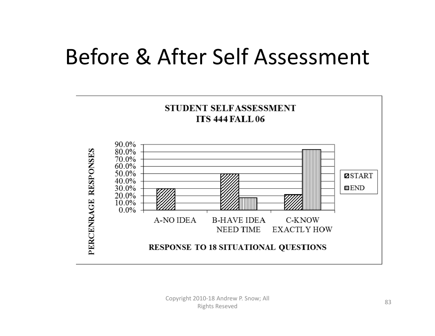### Before & After Self Assessment

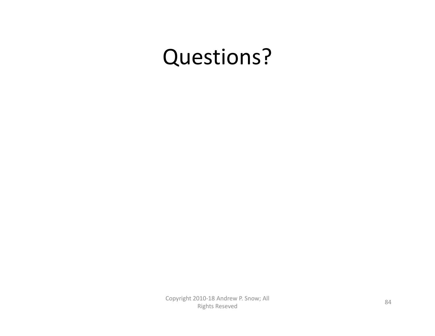#### Questions?

Copyright <sup>2010</sup>‐<sup>18</sup> Andrew P. Snow; All Rights Reseved